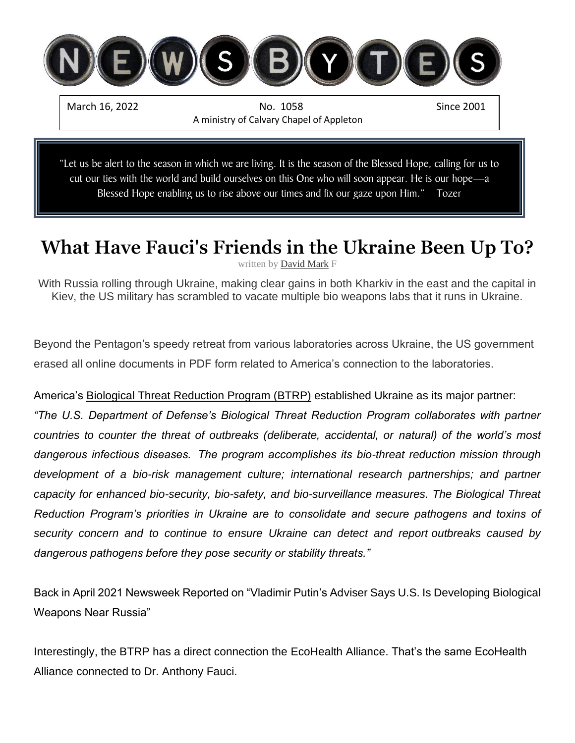

"Let us be alert to the season in which we are living. It is the season of the Blessed Hope, calling for us to cut our ties with the world and build ourselves on this One who will soon appear. He is our hope—a Blessed Hope enabling us to rise above our times and fix our gaze upon Him." Tozer

# **What Have Fauci's Friends in the Ukraine Been Up To?**

written by [David Mark](https://www.israelunwired.com/author/dovid-mark/)

With Russia rolling through Ukraine, making clear gains in both Kharkiv in the east and the capital in Kiev, the US military has scrambled to vacate multiple bio weapons labs that it runs in Ukraine.

Beyond the Pentagon's speedy retreat from various laboratories across Ukraine, the US government erased all online documents in PDF form related to America's connection to the laboratories.

America's [Biological Threat Reduction Program \(BTRP\)](https://ua.usembassy.gov/embassy/kyiv/sections-offices/defense-threat-reduction-office/biological-threat-reduction-program/) established Ukraine as its major partner:

*"The U.S. Department of Defense's Biological Threat Reduction Program collaborates with partner countries to counter the threat of outbreaks (deliberate, accidental, or natural) of the world's most dangerous infectious diseases.  The program accomplishes its bio-threat reduction mission through development of a bio-risk management culture; international research partnerships; and partner capacity for enhanced bio-security, bio-safety, and bio-surveillance measures. The Biological Threat Reduction Program's priorities in Ukraine are to consolidate and secure pathogens and toxins of security concern and to continue to ensure Ukraine can detect and report outbreaks caused by dangerous pathogens before they pose security or stability threats."*

[Back in April 2021 Newsweek Reported on "Vladimir Putin's Adviser Says U.S. Is Developing Biological](https://www.newsweek.com/russia-china-nikolai-patrushev-vladimir-putin-biological-weapons-1581896)  [Weapons Near Russia"](https://www.newsweek.com/russia-china-nikolai-patrushev-vladimir-putin-biological-weapons-1581896)

Interestingly, the BTRP has a direct connection the [EcoHealth Alliance.](https://www.ecohealthalliance.org/wp-content/uploads/2021/02/Opportunities-for-Enhanced-Defense-Military-and-Security-Sector-Engagement-in-Global-Health-Security.pdf) That's the same EcoHealth Alliance [connected to Dr. Anthony Fauci.](https://theintercept.com/2021/11/03/coronavirus-research-ecohealth-nih-emails/)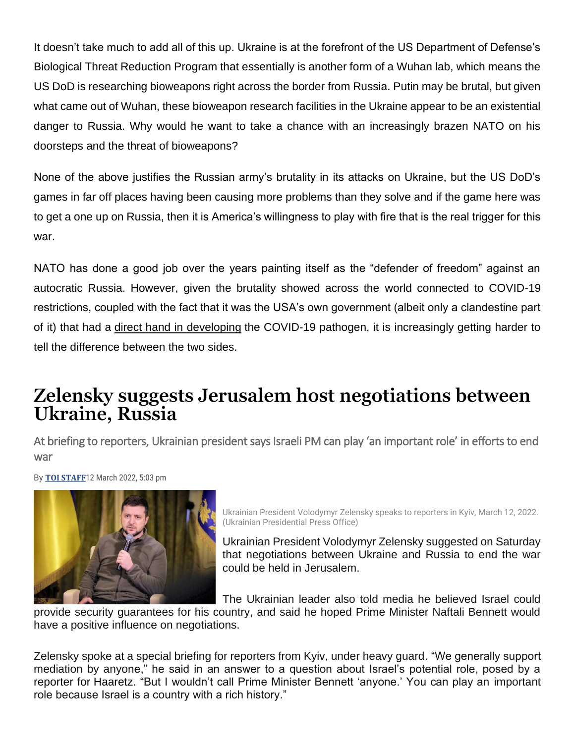It doesn't take much to add all of this up. Ukraine is at the forefront of the US Department of Defense's Biological Threat Reduction Program that essentially is another form of a Wuhan lab, which means the US DoD is researching bioweapons right across the border from Russia. Putin may be brutal, but given what came out of Wuhan, these bioweapon research facilities in the Ukraine appear to be an existential danger to Russia. Why would he want to take a chance with an increasingly brazen NATO on his doorsteps and the threat of bioweapons?

None of the above justifies the Russian army's brutality in its attacks on Ukraine, but the US DoD's games in far off places having been causing more problems than they solve and if the game here was to get a one up on Russia, then it is America's willingness to play with fire that is the real trigger for this war.

NATO has done a good job over the years painting itself as the "defender of freedom" against an autocratic Russia. However, given the brutality showed across the world connected to COVID-19 restrictions, coupled with the fact that it was the USA's own government (albeit only a clandestine part of it) that had a [direct hand in developing](https://www.israelunwired.com/fauci-behind-pandemic/) the COVID-19 pathogen, it is increasingly getting harder to tell the difference between the two sides.

## **Zelensky suggests Jerusalem host negotiations between Ukraine, Russia**

At briefing to reporters, Ukrainian president says Israeli PM can play 'an important role' in efforts to end war

By **TOI [STAFF](https://www.timesofisrael.com/writers/times-of-israel-staff/)**12 March 2022, 5:03 pm



Ukrainian President Volodymyr Zelensky speaks to reporters in Kyiv, March 12, 2022. (Ukrainian Presidential Press Office)

Ukrainian President Volodymyr Zelensky suggested on Saturday that negotiations between Ukraine and Russia to end the war could be held in Jerusalem.

The Ukrainian leader also told media he believed Israel could

provide security guarantees for his country, and said he hoped Prime Minister Naftali Bennett would have a positive influence on negotiations.

Zelensky spoke at a special briefing for reporters from Kyiv, under heavy guard.**j**"We generally support mediation by anyone," he said in an answer to a question about Israel's potential role, posed by a reporter for [Haaretz.](https://www.youtube.com/watch?v=AW-lZ742_Pw) "But I wouldn't call Prime Minister Bennett 'anyone.' You can play an important role because Israel is a country with a rich history."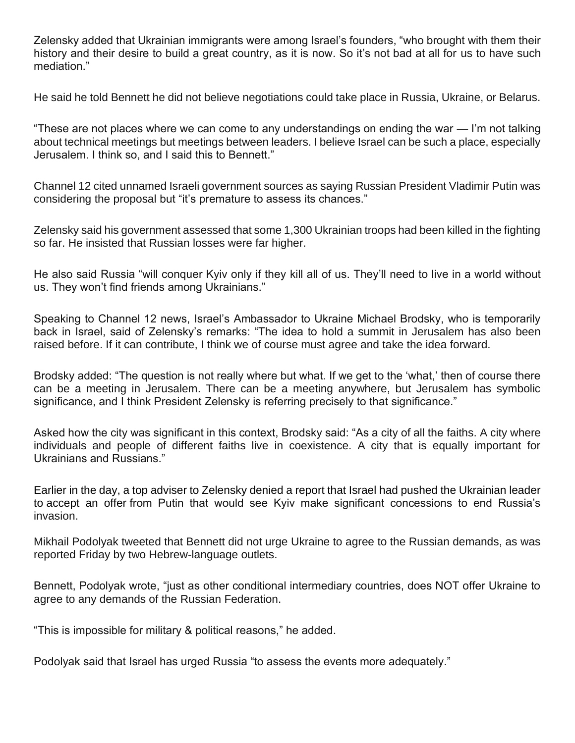Zelensky added that Ukrainian immigrants were among Israel's founders, "who brought with them their history and their desire to build a great country, as it is now. So it's not bad at all for us to have such mediation."

He said he told Bennett he did not believe negotiations could take place in Russia, Ukraine, or Belarus.

"These are not places where we can come to any understandings on ending the war — I'm not talking about technical meetings but meetings between leaders. I believe Israel can be such a place, especially Jerusalem. I think so, and I said this to Bennett."

Channel 12 cited unnamed Israeli government sources as saying Russian President Vladimir Putin was considering the proposal but "it's premature to assess its chances."

Zelensky said his government assessed that some 1,300 Ukrainian troops had been killed in the fighting so far. He insisted that Russian losses were far higher.

He also said Russia "will conquer Kyiv only if they kill all of us. They'll need to live in a world without us. They won't find friends among Ukrainians."

Speaking to Channel 12 news, Israel's Ambassador to Ukraine Michael Brodsky, who is temporarily back in Israel, said of Zelensky's remarks: "The idea to hold a summit in Jerusalem has also been raised before. If it can contribute, I think we of course must agree and take the idea forward.

Brodsky added: "The question is not really where but what. If we get to the 'what,' then of course there can be a meeting in Jerusalem. There can be a meeting anywhere, but Jerusalem has symbolic significance, and I think President Zelensky is referring precisely to that significance."

Asked how the city was significant in this context, Brodsky said: "As a city of all the faiths. A city where individuals and people of different faiths live in coexistence. A city that is equally important for Ukrainians and Russians."

Earlier in the day, a top adviser to Zelensky denied a report that Israel had pushed the Ukrainian leader to [accept](https://www.timesofisrael.com/ukraine-official-said-to-claim-bennett-pushed-zelensky-to-surrender-to-putin-deal/) an offer from Putin that would see Kyiv make significant concessions to end Russia's invasion.

Mikhail Podolyak tweeted that Bennett did not urge Ukraine to agree to the Russian demands, as was reported Friday by two Hebrew-language outlets.

Bennett, Podolyak wrote, "just as other conditional intermediary countries, does NOT offer Ukraine to agree to any demands of the Russian Federation.

"This is impossible for military & political reasons," he added.

Podolyak said that Israel has urged Russia "to assess the events more adequately."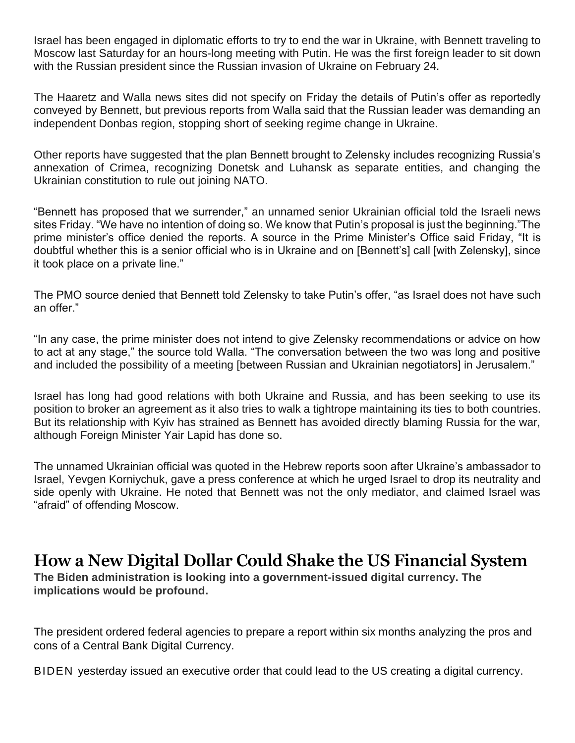Israel has been engaged in diplomatic efforts to try to end the war in Ukraine, with Bennett traveling to Moscow last Saturday for an hours-long meeting with Putin. He was the first foreign leader to sit down with the Russian president since the Russian invasion of Ukraine on February 24.

The Haaretz and Walla news sites did not specify on Friday the details of Putin's offer as reportedly conveyed by Bennett, but previous reports from Walla said that the Russian leader was demanding an independent Donbas region, stopping short of seeking regime change in Ukraine.

Other reports have suggested that the plan Bennett brought to Zelensky includes recognizing Russia's annexation of Crimea, recognizing Donetsk and Luhansk as separate entities, and changing the Ukrainian constitution to rule out joining NATO.

"Bennett has proposed that we surrender," an unnamed senior Ukrainian official told the Israeli news sites Friday. "We have no intention of doing so. We know that Putin's proposal is just the beginning."The prime minister's office denied the reports. A source in the Prime Minister's Office said Friday, "It is doubtful whether this is a senior official who is in Ukraine and on [Bennett's] call [with Zelensky], since it took place on a private line."

The PMO source denied that Bennett told Zelensky to take Putin's offer, "as Israel does not have such an offer."

"In any case, the prime minister does not intend to give Zelensky recommendations or advice on how to act at any stage," the source told Walla. "The conversation between the two was long and positive and included the possibility of a meeting [between Russian and Ukrainian negotiators] in Jerusalem."

Israel has long had good relations with both Ukraine and Russia, and has been seeking to use its position to broker an agreement as it also tries to walk a tightrope maintaining its ties to both countries. But its relationship with Kyiv has strained as Bennett has avoided directly blaming Russia for the war, although Foreign Minister Yair Lapid has done so.

The unnamed Ukrainian official was quoted in the Hebrew reports soon after Ukraine's ambassador to Israel, Yevgen Korniychuk, gave a press conference at which he [urged](https://www.timesofisrael.com/ukraine-envoy-israel-is-afraid-of-russia-and-should-drop-neutral-position/) Israel to drop its neutrality and side openly with Ukraine. He noted that Bennett was not the only mediator, and claimed Israel was "afraid" of offending Moscow.

### **How a New Digital Dollar Could Shake the US Financial System**

**The Biden administration is looking into a government-issued digital currency. The implications would be profound.**

The president ordered federal agencies to prepare a report within six months analyzing the pros and cons of a Central Bank Digital Currency.

BIDEN yesterday issued an [executive order](https://www.whitehouse.gov/briefing-room/presidential-actions/2022/03/09/executive-order-on-ensuring-responsible-development-of-digital-assets/) that could lead to the US creating a digital currency.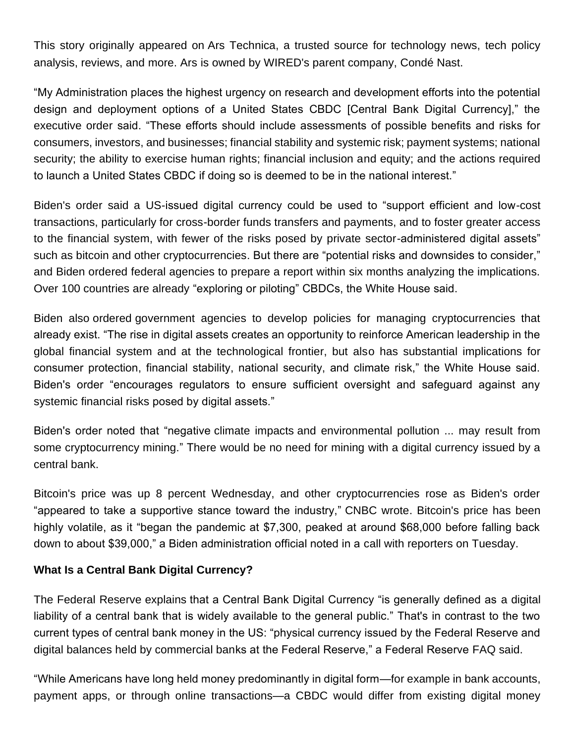This story originally appeared on [Ars Technica,](https://arstechnica.com/tech-policy/2022/03/biden-considers-digital-dollar-heres-how-it-could-differ-from-regular-money/) a trusted source for technology news, tech policy analysis, reviews, and more. Ars is owned by WIRED's parent company, Condé Nast.

"My Administration places the highest urgency on research and development efforts into the potential design and deployment options of a United States CBDC [Central Bank Digital Currency]," the executive order said. "These efforts should include assessments of possible benefits and risks for consumers, investors, and businesses; financial stability and systemic risk; payment systems; national security; the ability to exercise human rights; financial inclusion and equity; and the actions required to launch a United States CBDC if doing so is deemed to be in the national interest."

Biden's order said a US-issued digital currency could be used to "support efficient and low-cost transactions, particularly for cross-border funds transfers and payments, and to foster greater access to the financial system, with fewer of the risks posed by private sector-administered digital assets" such as [bitcoin](https://www.wired.com/tag/bitcoin/) and other [cryptocurrencies.](https://www.wired.com/tag/cryptocurrency/) But there are "potential risks and downsides to consider," and Biden ordered federal agencies to prepare a report within six months analyzing the implications. Over 100 countries are already "exploring or piloting" CBDCs, the White House said.

Biden also [ordered](https://www.whitehouse.gov/briefing-room/statements-releases/2022/03/09/fact-sheet-president-biden-to-sign-executive-order-on-ensuring-responsible-innovation-in-digital-assets/) government agencies to develop policies for managing cryptocurrencies that already exist. "The rise in digital assets creates an opportunity to reinforce American leadership in the global financial system and at the technological frontier, but also has substantial implications for consumer protection, financial stability, national security, and climate risk," the White House said. Biden's order "encourages regulators to ensure sufficient oversight and safeguard against any systemic financial risks posed by digital assets."

Biden's order noted that "negative [climate impacts](https://www.wired.com/tag/climate/) and environmental pollution ... may result from some cryptocurrency [mining.](https://www.wired.com/tag/mining/)" There would be no need for mining with a digital currency issued by a central bank.

Bitcoin's price was up 8 percent Wednesday, and other cryptocurrencies rose as Biden's order "appeared to take a supportive stance toward the industry," [CNBC wrote.](https://www.cnbc.com/2022/03/09/bitcoin-btc-jumps-after-treasury-statement-on-crypto-executive-order.html) Bitcoin's price has been highly volatile, as it "began the pandemic at \$7,300, peaked at around \$68,000 before falling back down to about \$39,000," a Biden administration official noted in a [call with reporters](https://www.whitehouse.gov/briefing-room/press-briefings/2022/03/09/background-press-call-by-senior-administration-officials-on-the-presidents-new-digital-assets-executive-order) on Tuesday.

#### **What Is a Central Bank Digital Currency?**

The Federal Reserve [explains](https://www.federalreserve.gov/central-bank-digital-currency.htm) that a Central Bank Digital Currency "is generally defined as a digital liability of a central bank that is widely available to the general public." That's in contrast to the two current types of central bank money in the US: "physical currency issued by the Federal Reserve and digital balances held by commercial banks at the Federal Reserve," a Federal Reserve [FAQ](https://www.federalreserve.gov/cbdc-faqs.htm) said.

"While Americans have long held money predominantly in digital form—for example in bank accounts, payment apps, or through online transactions—a CBDC would differ from existing digital money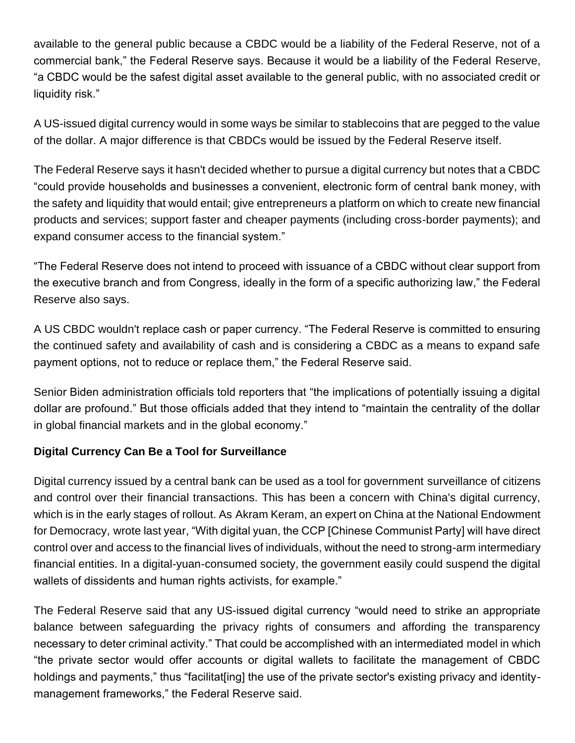available to the general public because a CBDC would be a liability of the Federal Reserve, not of a commercial bank," the Federal Reserve says. Because it would be a liability of the Federal Reserve, "a CBDC would be the safest digital asset available to the general public, with no associated credit or liquidity risk."

A US-issued digital currency would in some ways be similar to stablecoins that are pegged to the value of the dollar. A major difference is that CBDCs would be issued by the Federal Reserve itself.

The Federal Reserve says it hasn't decided whether to pursue a digital currency but notes that a CBDC "could provide households and businesses a convenient, electronic form of central bank money, with the safety and liquidity that would entail; give entrepreneurs a platform on which to create new financial products and services; support faster and cheaper payments (including cross-border payments); and expand consumer access to the financial system."

"The Federal Reserve does not intend to proceed with issuance of a CBDC without clear support from the executive branch and from Congress, ideally in the form of a specific authorizing law," the Federal Reserve also says.

A US CBDC wouldn't replace cash or paper currency. "The Federal Reserve is committed to ensuring the continued safety and availability of cash and is considering a CBDC as a means to expand safe payment options, not to reduce or replace them," the Federal Reserve said.

Senior Biden administration officials told reporters that "the implications of potentially issuing a digital dollar are profound." But those officials added that they intend to "maintain the centrality of the dollar in global financial markets and in the global economy."

### **Digital Currency Can Be a Tool for Surveillance**

Digital currency issued by a central bank can be used as a tool for government [surveillance](https://www.wired.com/tag/surveillance/) of citizens and control over their financial transactions. This has been a concern with China's digital currency, which is in the [early stages](https://www.cnbc.com/2022/01/11/china-digital-yuan-pboc-to-expand-e-cny-use-but-challenges-remain.html) of rollout. As [Akram Keram,](https://www.chinafile.com/contributors/akram-keram) an expert on China at the National Endowment for Democracy, [wrote last year,](https://www.washingtonpost.com/opinions/2021/03/02/china-digital-yuan-currency-surveillance-privacy/) "With digital yuan, the CCP [Chinese Communist Party] will have direct control over and access to the financial lives of individuals, without the need to strong-arm intermediary financial entities. In a digital-yuan-consumed society, the government easily could suspend the digital wallets of dissidents and human rights activists, for example."

The Federal Reserve said that any US-issued digital currency "would need to strike an appropriate balance between safeguarding the privacy rights of consumers and affording the transparency necessary to deter criminal activity." That could be accomplished with an intermediated model in which "the private sector would offer accounts or digital wallets to facilitate the management of CBDC holdings and payments," thus "facilitat[ing] the use of the private sector's existing privacy and identitymanagement frameworks," the Federal Reserve said.